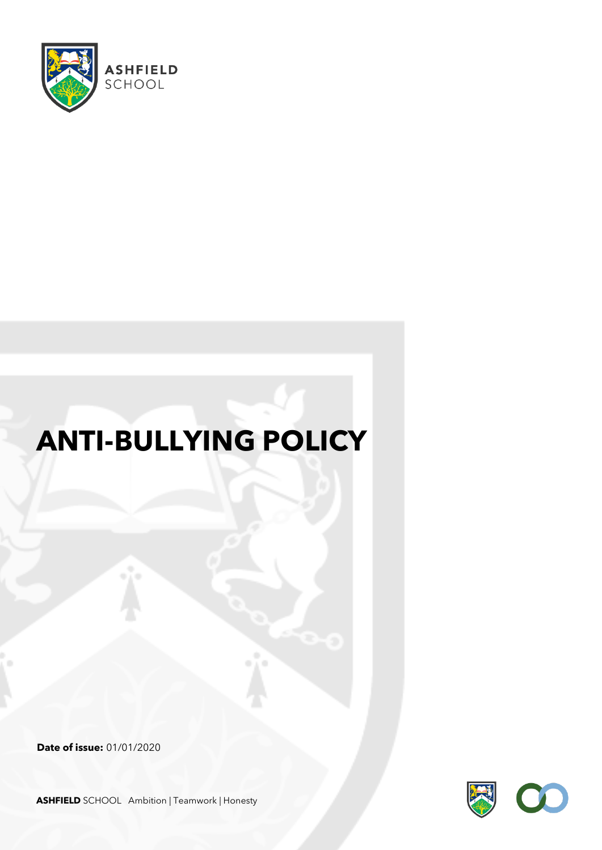

# **ANTI-BULLYING POLICY**

**Date of issue:** 01/01/2020

**ASHFIELD** SCHOOL Ambition | Teamwork | Honesty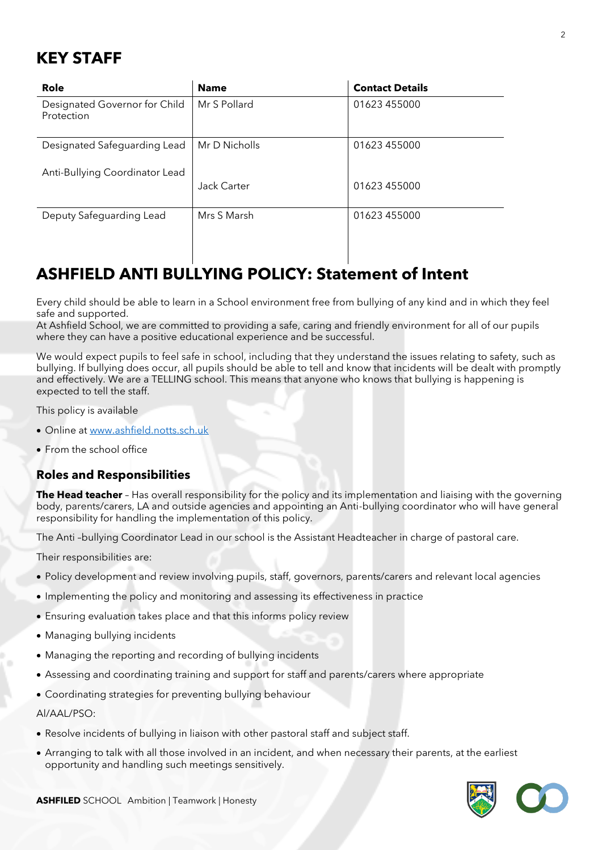# **KEY STAFF**

| Role                                        | <b>Name</b>   | <b>Contact Details</b> |
|---------------------------------------------|---------------|------------------------|
| Designated Governor for Child<br>Protection | Mr S Pollard  | 01623 455000           |
| Designated Safeguarding Lead                | Mr D Nicholls | 01623 455000           |
| Anti-Bullying Coordinator Lead              | Jack Carter   | 01623 455000           |
| Deputy Safeguarding Lead                    | Mrs S Marsh   | 01623 455000           |

# **ASHFIELD ANTI BULLYING POLICY: Statement of Intent**

Every child should be able to learn in a School environment free from bullying of any kind and in which they feel safe and supported.

At Ashfield School, we are committed to providing a safe, caring and friendly environment for all of our pupils where they can have a positive educational experience and be successful.

We would expect pupils to feel safe in school, including that they understand the issues relating to safety, such as bullying. If bullying does occur, all pupils should be able to tell and know that incidents will be dealt with promptly and effectively. We are a TELLING school. This means that anyone who knows that bullying is happening is expected to tell the staff.

This policy is available

- Online at [www.ashfield.notts.sch.uk](http://www.ashfield.notts.sch.uk/)
- From the school office

#### **Roles and Responsibilities**

**The Head teacher** – Has overall responsibility for the policy and its implementation and liaising with the governing body, parents/carers, LA and outside agencies and appointing an Anti-bullying coordinator who will have general responsibility for handling the implementation of this policy.

The Anti –bullying Coordinator Lead in our school is the Assistant Headteacher in charge of pastoral care.

Their responsibilities are:

- Policy development and review involving pupils, staff, governors, parents/carers and relevant local agencies
- Implementing the policy and monitoring and assessing its effectiveness in practice
- Ensuring evaluation takes place and that this informs policy review
- Managing bullying incidents
- Managing the reporting and recording of bullying incidents
- Assessing and coordinating training and support for staff and parents/carers where appropriate
- Coordinating strategies for preventing bullying behaviour

Al/AAL/PSO:

- Resolve incidents of bullying in liaison with other pastoral staff and subject staff.
- Arranging to talk with all those involved in an incident, and when necessary their parents, at the earliest opportunity and handling such meetings sensitively.

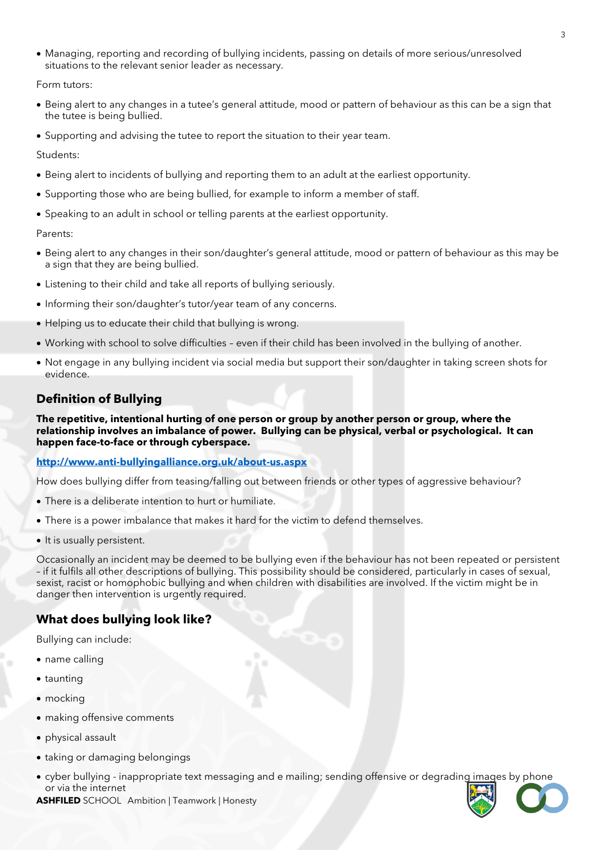• Managing, reporting and recording of bullying incidents, passing on details of more serious/unresolved situations to the relevant senior leader as necessary.

Form tutors:

- Being alert to any changes in a tutee's general attitude, mood or pattern of behaviour as this can be a sign that the tutee is being bullied.
- Supporting and advising the tutee to report the situation to their year team.

Students:

- Being alert to incidents of bullying and reporting them to an adult at the earliest opportunity.
- Supporting those who are being bullied, for example to inform a member of staff.
- Speaking to an adult in school or telling parents at the earliest opportunity.

Parents:

- Being alert to any changes in their son/daughter's general attitude, mood or pattern of behaviour as this may be a sign that they are being bullied.
- Listening to their child and take all reports of bullying seriously.
- Informing their son/daughter's tutor/year team of any concerns.
- Helping us to educate their child that bullying is wrong.
- Working with school to solve difficulties even if their child has been involved in the bullying of another.
- Not engage in any bullying incident via social media but support their son/daughter in taking screen shots for evidence.

## **Definition of Bullying**

**The repetitive, intentional hurting of one person or group by another person or group, where the relationship involves an imbalance of power. Bullying can be physical, verbal or psychological. It can happen face-to-face or through cyberspace.**

**<http://www.anti-bullyingalliance.org.uk/about-us.aspx>**

How does bullying differ from teasing/falling out between friends or other types of aggressive behaviour?

- There is a deliberate intention to hurt or humiliate.
- There is a power imbalance that makes it hard for the victim to defend themselves.
- It is usually persistent.

Occasionally an incident may be deemed to be bullying even if the behaviour has not been repeated or persistent – if it fulfils all other descriptions of bullying. This possibility should be considered, particularly in cases of sexual, sexist, racist or homophobic bullying and when children with disabilities are involved. If the victim might be in danger then intervention is urgently required.

## **What does bullying look like?**

Bullying can include:

- name calling
- taunting
- mocking
- making offensive comments
- physical assault
- taking or damaging belongings
- cyber bullying inappropriate text messaging and e mailing; sending offensive or degrading images by phone or via the internet

**ASHFILED** SCHOOL Ambition | Teamwork | Honesty

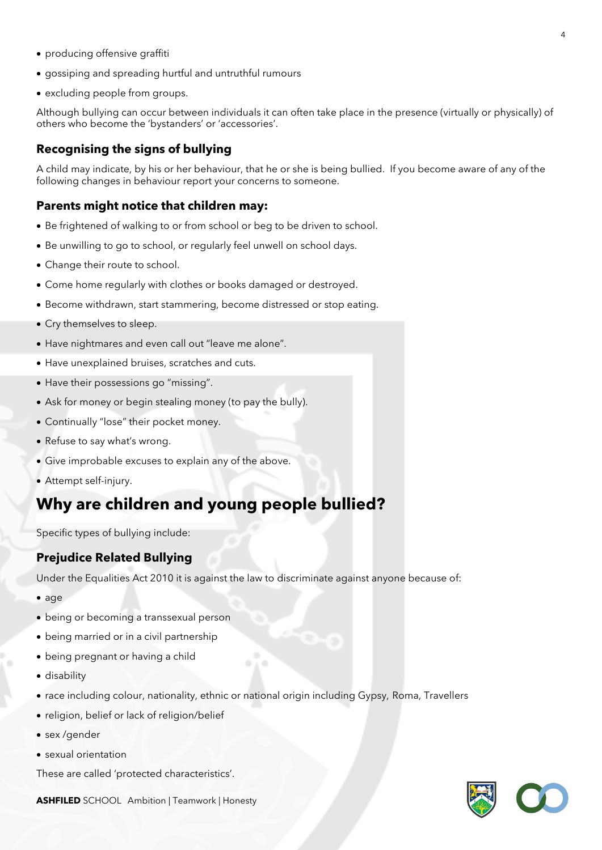- producing offensive graffiti
- gossiping and spreading hurtful and untruthful rumours
- excluding people from groups.

Although bullying can occur between individuals it can often take place in the presence (virtually or physically) of others who become the 'bystanders' or 'accessories'.

## **Recognising the signs of bullying**

A child may indicate, by his or her behaviour, that he or she is being bullied. If you become aware of any of the following changes in behaviour report your concerns to someone.

### **Parents might notice that children may:**

- Be frightened of walking to or from school or beg to be driven to school.
- Be unwilling to go to school, or regularly feel unwell on school days.
- Change their route to school.
- Come home regularly with clothes or books damaged or destroyed.
- Become withdrawn, start stammering, become distressed or stop eating.
- Cry themselves to sleep.
- Have nightmares and even call out "leave me alone".
- Have unexplained bruises, scratches and cuts.
- Have their possessions go "missing".
- Ask for money or begin stealing money (to pay the bully).
- Continually "lose" their pocket money.
- Refuse to say what's wrong.
- Give improbable excuses to explain any of the above.
- Attempt self-injury.

# **Why are children and young people bullied?**

Specific types of bullying include:

## **Prejudice Related Bullying**

Under the Equalities Act 2010 it is against the law to discriminate against anyone because of:

- age
- being or becoming a transsexual person
- being married or in a civil partnership
- being pregnant or having a child
- disability
- race including colour, nationality, ethnic or national origin including Gypsy, Roma, Travellers
- religion, belief or lack of religion/belief
- sex /gender
- sexual orientation

These are called 'protected characteristics'.

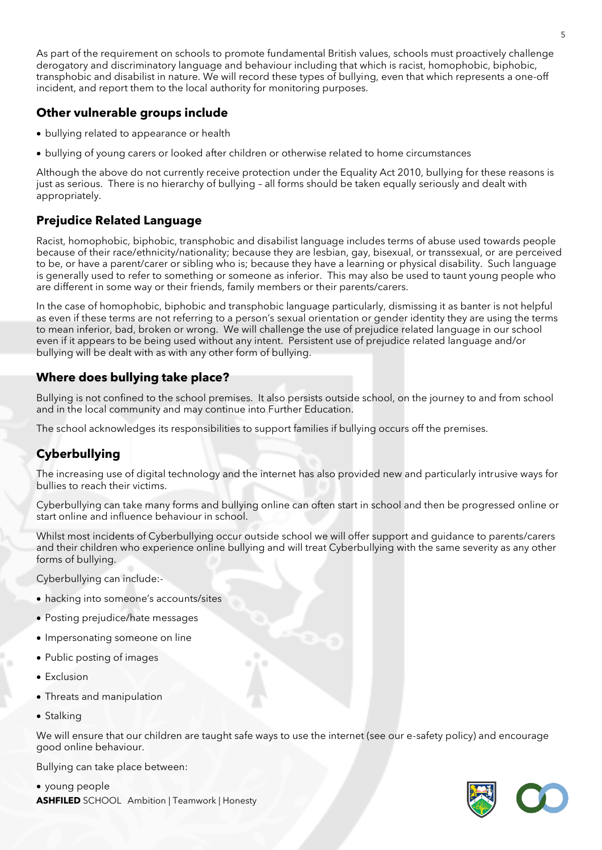As part of the requirement on schools to promote fundamental British values, schools must proactively challenge derogatory and discriminatory language and behaviour including that which is racist, homophobic, biphobic, transphobic and disabilist in nature. We will record these types of bullying, even that which represents a one-off incident, and report them to the local authority for monitoring purposes.

### **Other vulnerable groups include**

- bullying related to appearance or health
- bullying of young carers or looked after children or otherwise related to home circumstances

Although the above do not currently receive protection under the Equality Act 2010, bullying for these reasons is just as serious. There is no hierarchy of bullying – all forms should be taken equally seriously and dealt with appropriately.

## **Prejudice Related Language**

Racist, homophobic, biphobic, transphobic and disabilist language includes terms of abuse used towards people because of their race/ethnicity/nationality; because they are lesbian, gay, bisexual, or transsexual, or are perceived to be, or have a parent/carer or sibling who is; because they have a learning or physical disability. Such language is generally used to refer to something or someone as inferior. This may also be used to taunt young people who are different in some way or their friends, family members or their parents/carers.

In the case of homophobic, biphobic and transphobic language particularly, dismissing it as banter is not helpful as even if these terms are not referring to a person's sexual orientation or gender identity they are using the terms to mean inferior, bad, broken or wrong. We will challenge the use of prejudice related language in our school even if it appears to be being used without any intent. Persistent use of prejudice related language and/or bullying will be dealt with as with any other form of bullying.

## **Where does bullying take place?**

Bullying is not confined to the school premises. It also persists outside school, on the journey to and from school and in the local community and may continue into Further Education.

The school acknowledges its responsibilities to support families if bullying occurs off the premises.

## **Cyberbullying**

The increasing use of digital technology and the internet has also provided new and particularly intrusive ways for bullies to reach their victims.

Cyberbullying can take many forms and bullying online can often start in school and then be progressed online or start online and influence behaviour in school.

Whilst most incidents of Cyberbullying occur outside school we will offer support and guidance to parents/carers and their children who experience online bullying and will treat Cyberbullying with the same severity as any other forms of bullying.

Cyberbullying can include:-

- hacking into someone's accounts/sites
- Posting prejudice/hate messages
- Impersonating someone on line
- Public posting of images
- Exclusion
- Threats and manipulation
- Stalking

We will ensure that our children are taught safe ways to use the internet (see our e-safety policy) and encourage good online behaviour.

Bullying can take place between:

**ASHFILED** SCHOOL Ambition | Teamwork | Honesty • young people

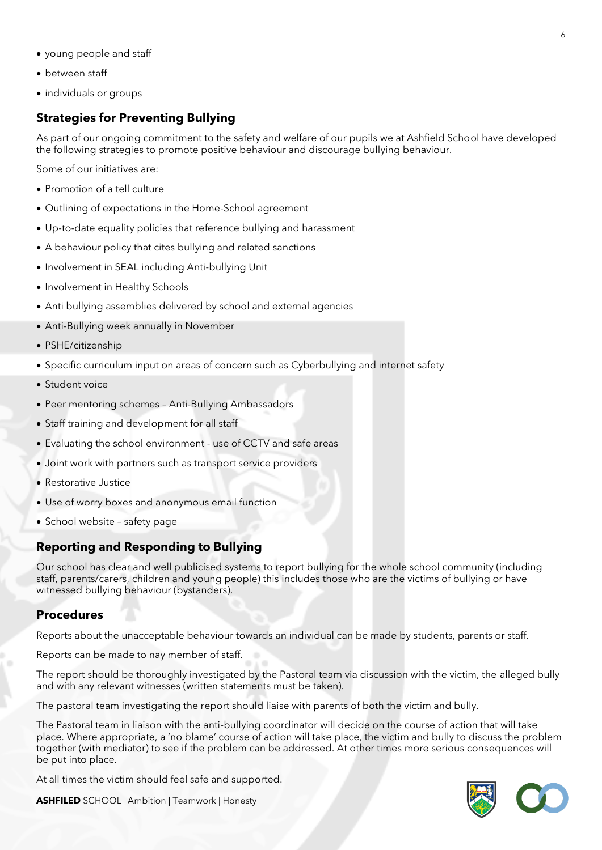- young people and staff
- between staff
- individuals or groups

### **Strategies for Preventing Bullying**

As part of our ongoing commitment to the safety and welfare of our pupils we at Ashfield School have developed the following strategies to promote positive behaviour and discourage bullying behaviour.

Some of our initiatives are:

- Promotion of a tell culture
- Outlining of expectations in the Home-School agreement
- Up-to-date equality policies that reference bullying and harassment
- A behaviour policy that cites bullying and related sanctions
- Involvement in SEAL including Anti-bullying Unit
- Involvement in Healthy Schools
- Anti bullying assemblies delivered by school and external agencies
- Anti-Bullying week annually in November
- PSHE/citizenship
- Specific curriculum input on areas of concern such as Cyberbullying and internet safety
- Student voice
- Peer mentoring schemes Anti-Bullying Ambassadors
- Staff training and development for all staff
- Evaluating the school environment use of CCTV and safe areas
- Joint work with partners such as transport service providers
- Restorative Justice
- Use of worry boxes and anonymous email function
- School website safety page

#### **Reporting and Responding to Bullying**

Our school has clear and well publicised systems to report bullying for the whole school community (including staff, parents/carers, children and young people) this includes those who are the victims of bullying or have witnessed bullying behaviour (bystanders).

#### **Procedures**

Reports about the unacceptable behaviour towards an individual can be made by students, parents or staff.

Reports can be made to nay member of staff.

The report should be thoroughly investigated by the Pastoral team via discussion with the victim, the alleged bully and with any relevant witnesses (written statements must be taken).

The pastoral team investigating the report should liaise with parents of both the victim and bully.

The Pastoral team in liaison with the anti-bullying coordinator will decide on the course of action that will take place. Where appropriate, a 'no blame' course of action will take place, the victim and bully to discuss the problem together (with mediator) to see if the problem can be addressed. At other times more serious consequences will be put into place.

At all times the victim should feel safe and supported.



| <b>ASHFILED</b> SCHOOL Ambition   Teamwork   Honesty |  |
|------------------------------------------------------|--|
|------------------------------------------------------|--|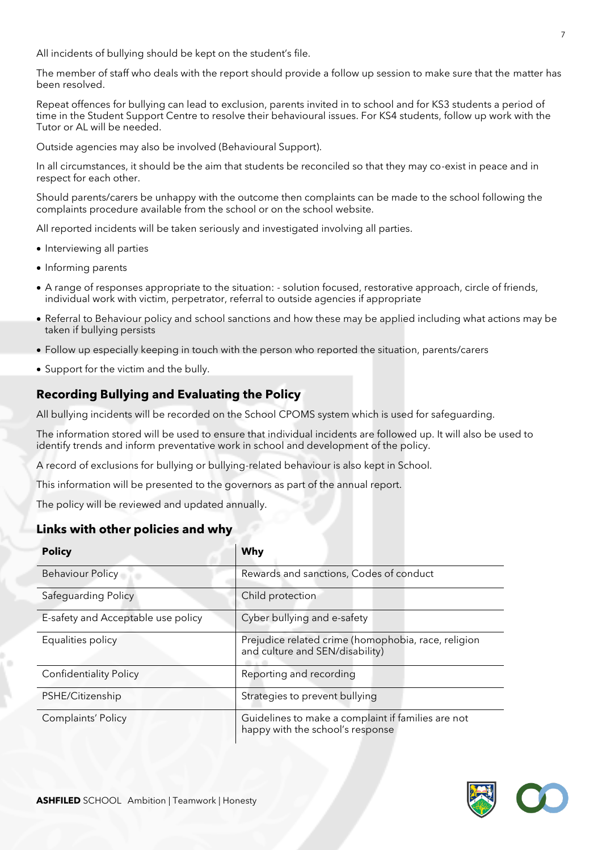All incidents of bullying should be kept on the student's file.

The member of staff who deals with the report should provide a follow up session to make sure that the matter has been resolved.

Repeat offences for bullying can lead to exclusion, parents invited in to school and for KS3 students a period of time in the Student Support Centre to resolve their behavioural issues. For KS4 students, follow up work with the Tutor or AL will be needed.

Outside agencies may also be involved (Behavioural Support).

In all circumstances, it should be the aim that students be reconciled so that they may co-exist in peace and in respect for each other.

Should parents/carers be unhappy with the outcome then complaints can be made to the school following the complaints procedure available from the school or on the school website.

All reported incidents will be taken seriously and investigated involving all parties.

- Interviewing all parties
- Informing parents
- A range of responses appropriate to the situation: solution focused, restorative approach, circle of friends, individual work with victim, perpetrator, referral to outside agencies if appropriate
- Referral to Behaviour policy and school sanctions and how these may be applied including what actions may be taken if bullying persists
- Follow up especially keeping in touch with the person who reported the situation, parents/carers
- Support for the victim and the bully.

## **Recording Bullying and Evaluating the Policy**

All bullying incidents will be recorded on the School CPOMS system which is used for safeguarding.

The information stored will be used to ensure that individual incidents are followed up. It will also be used to identify trends and inform preventative work in school and development of the policy.

A record of exclusions for bullying or bullying-related behaviour is also kept in School.

This information will be presented to the governors as part of the annual report.

The policy will be reviewed and updated annually.

#### **Links with other policies and why**

| <b>Policy</b>                      | Why                                                                                    |
|------------------------------------|----------------------------------------------------------------------------------------|
| Behaviour Policy                   | Rewards and sanctions, Codes of conduct                                                |
| Safeguarding Policy                | Child protection                                                                       |
| E-safety and Acceptable use policy | Cyber bullying and e-safety                                                            |
| Equalities policy                  | Prejudice related crime (homophobia, race, religion<br>and culture and SEN/disability) |
| <b>Confidentiality Policy</b>      | Reporting and recording                                                                |
| PSHE/Citizenship                   | Strategies to prevent bullying                                                         |
| Complaints' Policy                 | Guidelines to make a complaint if families are not<br>happy with the school's response |

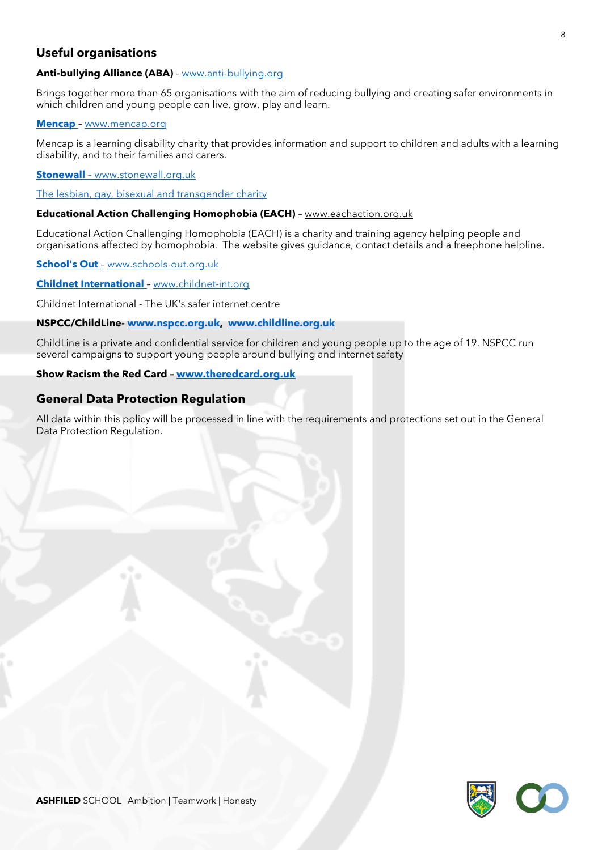## **Useful organisations**

#### **Anti-bullying Alliance (ABA)** - [www.anti-bullying.org](http://www.anti-bullying.org/)

Brings together more than 65 organisations with the aim of reducing bullying and creating safer environments in which children and young people can live, grow, play and learn.

#### **[Mencap](http://www.mencap.org.uk/)** – [www.mencap.org](http://www.mencap.org/)

Mencap is a learning disability charity that provides information and support to children and adults with a learning disability, and to their families and carers.

#### **Stonewall** – www.stonewall.org.uk

#### The lesbian, gay, bisexual and transgender charity

#### **Educational Action Challenging Homophobia (EACH)** – www.eachaction.org.uk

Educational Action Challenging Homophobia (EACH) is a charity and training agency helping people and organisations affected by homophobia. The website gives guidance, contact details and a freephone helpline.

**[School's Out](http://www.schools-out.org.uk/)** – [www.schools-out.org.uk](http://www.schools-out.org.uk/)

#### **[Childnet International](http://childnet-int.org/)** – [www.childnet-int.org](http://www.childnet-int.org/)

Childnet International - The UK's safer internet centre

#### **NSPCC/ChildLine- [www.nspcc.org.uk,](http://www.nspcc.org.uk/) [www.childline.org.uk](http://www.childline.org.uk/)**

ChildLine is a private and confidential service for children and young people up to the age of 19. NSPCC run several campaigns to support young people around bullying and internet safety

#### **Show Racism the Red Card – [www.theredcard.org.uk](http://www.theredcard.org.uk/)**

#### **General Data Protection Regulation**

All data within this policy will be processed in line with the requirements and protections set out in the General Data Protection Regulation.